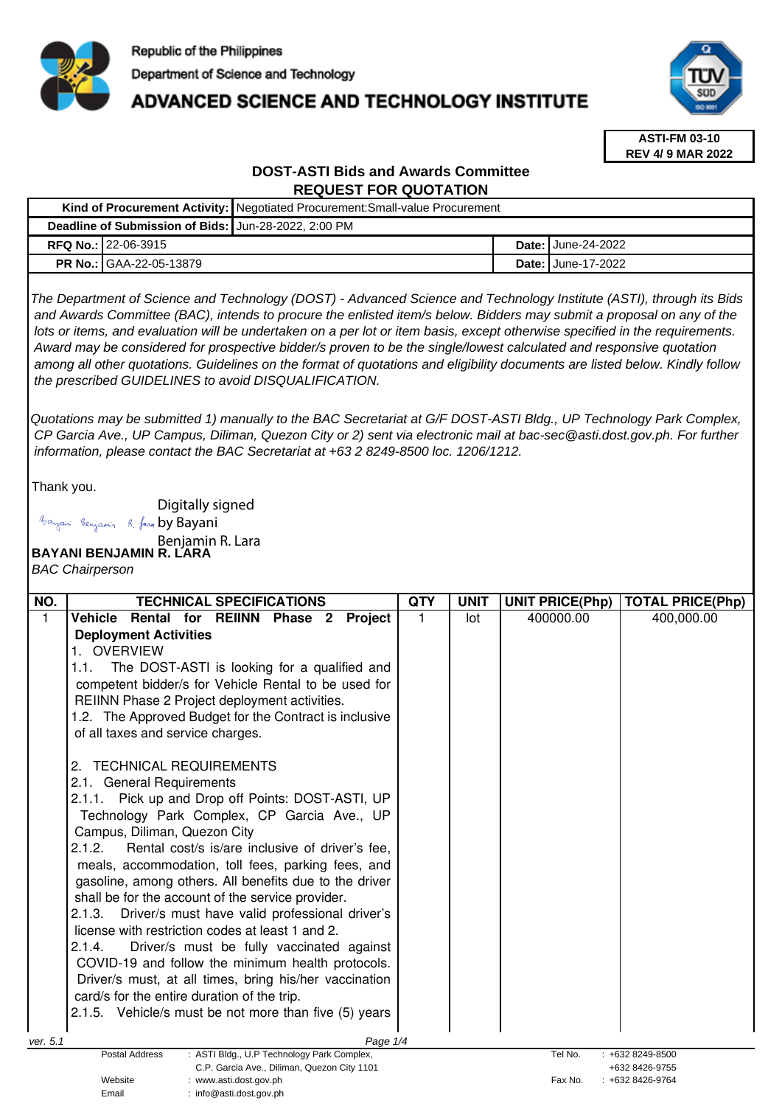

# **ADVANCED SCIENCE AND TECHNOLOGY INSTITUTE**



**ASTI-FM 03-10 REV 4/ 9 MAR 2022**

# **DOST-ASTI Bids and Awards Committee REQUEST FOR QUOTATION**

|  |                                                      | Kind of Procurement Activity: Negotiated Procurement: Small-value Procurement |  |                             |  |  |
|--|------------------------------------------------------|-------------------------------------------------------------------------------|--|-----------------------------|--|--|
|  | Deadline of Submission of Bids: Jun-28-2022, 2:00 PM |                                                                               |  |                             |  |  |
|  | <b>RFQ No.: 22-06-3915</b>                           |                                                                               |  | <b>Date: I</b> June-24-2022 |  |  |
|  | <b>PR No.: GAA-22-05-13879</b>                       |                                                                               |  | <b>Date: June-17-2022</b>   |  |  |

The Department of Science and Technology (DOST) - Advanced Science and Technology Institute (ASTI), through its Bids and Awards Committee (BAC), intends to procure the enlisted item/s below. Bidders may submit a proposal on any of the lots or items, and evaluation will be undertaken on a per lot or item basis, except otherwise specified in the requirements. Award may be considered for prospective bidder/s proven to be the single/lowest calculated and responsive quotation among all other quotations. Guidelines on the format of quotations and eligibility documents are listed below. Kindly follow the prescribed GUIDELINES to avoid DISQUALIFICATION.

Quotations may be submitted 1) manually to the BAC Secretariat at G/F DOST-ASTI Bldg., UP Technology Park Complex, CP Garcia Ave., UP Campus, Diliman, Quezon City or 2) sent via electronic mail at bac-sec@asti.dost.gov.ph. For further information, please contact the BAC Secretariat at +63 2 8249-8500 loc. 1206/1212.

Thank you.

Digitally signed

Bayani Benjamin R. fara by Bayani

Benjamin R. Lara

**BAYANI BENJAMIN R. LARA** 

BAC Chairperson

| NO.      | <b>TECHNICAL SPECIFICATIONS</b>                                     | <b>QTY</b> | <b>UNIT</b> | <b>UNIT PRICE(Php)</b> | <b>TOTAL PRICE(Php)</b> |
|----------|---------------------------------------------------------------------|------------|-------------|------------------------|-------------------------|
| 1        | <b>Vehicle</b><br>Rental for REIINN Phase 2<br>Project              |            | lot         | 400000.00              | 400,000.00              |
|          | <b>Deployment Activities</b>                                        |            |             |                        |                         |
|          | 1. OVERVIEW                                                         |            |             |                        |                         |
|          | The DOST-ASTI is looking for a qualified and<br>1.1.                |            |             |                        |                         |
|          | competent bidder/s for Vehicle Rental to be used for                |            |             |                        |                         |
|          | REIINN Phase 2 Project deployment activities.                       |            |             |                        |                         |
|          | 1.2. The Approved Budget for the Contract is inclusive              |            |             |                        |                         |
|          | of all taxes and service charges.                                   |            |             |                        |                         |
|          |                                                                     |            |             |                        |                         |
|          | <b>TECHNICAL REQUIREMENTS</b><br>2.                                 |            |             |                        |                         |
|          | 2.1. General Requirements                                           |            |             |                        |                         |
|          | 2.1.1. Pick up and Drop off Points: DOST-ASTI, UP                   |            |             |                        |                         |
|          | Technology Park Complex, CP Garcia Ave., UP                         |            |             |                        |                         |
|          | Campus, Diliman, Quezon City                                        |            |             |                        |                         |
|          | 2.1.2.<br>Rental cost/s is/are inclusive of driver's fee,           |            |             |                        |                         |
|          | meals, accommodation, toll fees, parking fees, and                  |            |             |                        |                         |
|          | gasoline, among others. All benefits due to the driver              |            |             |                        |                         |
|          | shall be for the account of the service provider.                   |            |             |                        |                         |
|          | Driver/s must have valid professional driver's<br>2.1.3.            |            |             |                        |                         |
|          | license with restriction codes at least 1 and 2.                    |            |             |                        |                         |
|          | 2.1.4.<br>Driver/s must be fully vaccinated against                 |            |             |                        |                         |
|          | COVID-19 and follow the minimum health protocols.                   |            |             |                        |                         |
|          | Driver/s must, at all times, bring his/her vaccination              |            |             |                        |                         |
|          | card/s for the entire duration of the trip.                         |            |             |                        |                         |
|          | 2.1.5. Vehicle/s must be not more than five (5) years               |            |             |                        |                         |
| ver. 5.1 | Page 1/4                                                            |            |             |                        |                         |
|          | <b>Postal Address</b><br>: ASTI Bldg., U.P Technology Park Complex, |            |             | Tel No.                | +632 8249-8500          |
|          | C.P. Garcia Ave., Diliman, Quezon City 1101                         |            |             |                        | +632 8426-9755          |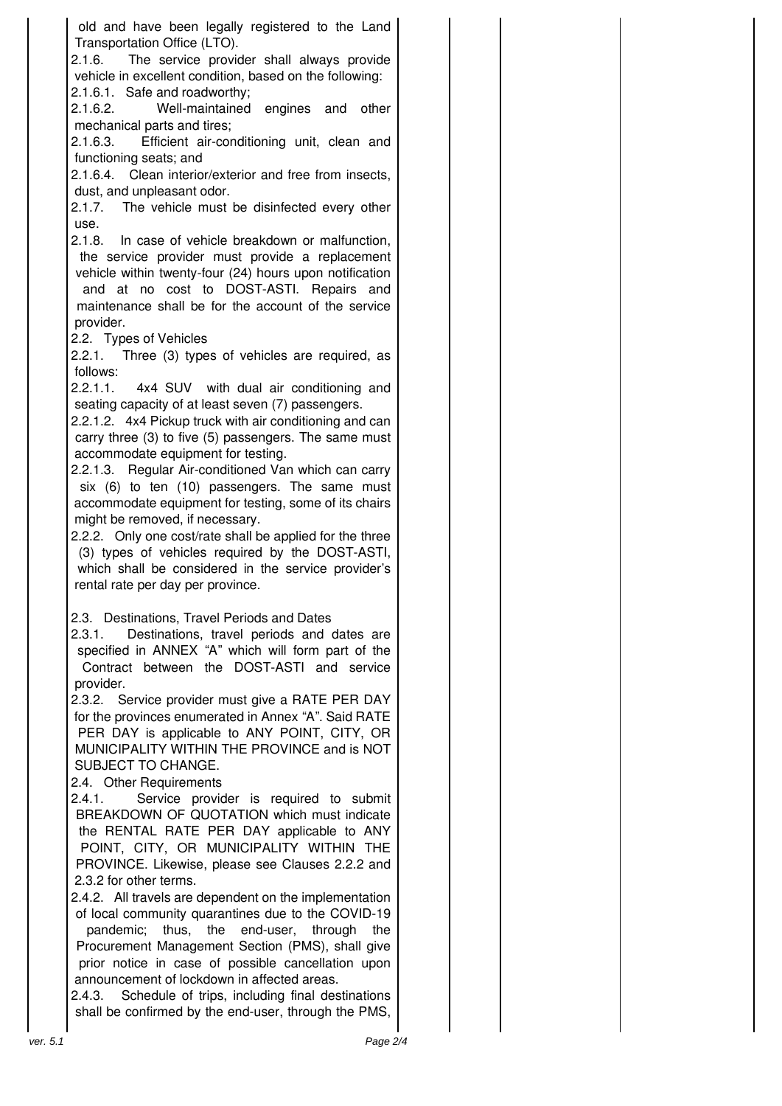old and have been legally registered to the Land Transportation Office (LTO).

2.1.6. The service provider shall always provide vehicle in excellent condition, based on the following: 2.1.6.1. Safe and roadworthy;

2.1.6.2. Well-maintained engines and other mechanical parts and tires;

2.1.6.3. Efficient air-conditioning unit, clean and functioning seats; and

2.1.6.4. Clean interior/exterior and free from insects, dust, and unpleasant odor.

2.1.7. The vehicle must be disinfected every other use.

2.1.8. In case of vehicle breakdown or malfunction, the service provider must provide a replacement vehicle within twenty-four (24) hours upon notification

and at no cost to DOST-ASTI. Repairs and maintenance shall be for the account of the service provider.

2.2. Types of Vehicles

2.2.1. Three (3) types of vehicles are required, as follows:

2.2.1.1. 4x4 SUV with dual air conditioning and seating capacity of at least seven (7) passengers.

2.2.1.2. 4x4 Pickup truck with air conditioning and can carry three (3) to five (5) passengers. The same must accommodate equipment for testing.

2.2.1.3. Regular Air-conditioned Van which can carry six (6) to ten (10) passengers. The same must accommodate equipment for testing, some of its chairs might be removed, if necessary.

2.2.2. Only one cost/rate shall be applied for the three (3) types of vehicles required by the DOST-ASTI, which shall be considered in the service provider's rental rate per day per province.

2.3. Destinations, Travel Periods and Dates

2.3.1. Destinations, travel periods and dates are specified in ANNEX "A" which will form part of the Contract between the DOST-ASTI and service provider.

2.3.2. Service provider must give a RATE PER DAY for the provinces enumerated in Annex "A". Said RATE PER DAY is applicable to ANY POINT, CITY, OR MUNICIPALITY WITHIN THE PROVINCE and is NOT SUBJECT TO CHANGE.

2.4. Other Requirements

2.4.1. Service provider is required to submit BREAKDOWN OF QUOTATION which must indicate the RENTAL RATE PER DAY applicable to ANY POINT, CITY, OR MUNICIPALITY WITHIN THE PROVINCE. Likewise, please see Clauses 2.2.2 and 2.3.2 for other terms.

2.4.2. All travels are dependent on the implementation of local community quarantines due to the COVID-19 pandemic; thus, the end-user, through the Procurement Management Section (PMS), shall give prior notice in case of possible cancellation upon announcement of lockdown in affected areas.

2.4.3. Schedule of trips, including final destinations shall be confirmed by the end-user, through the PMS,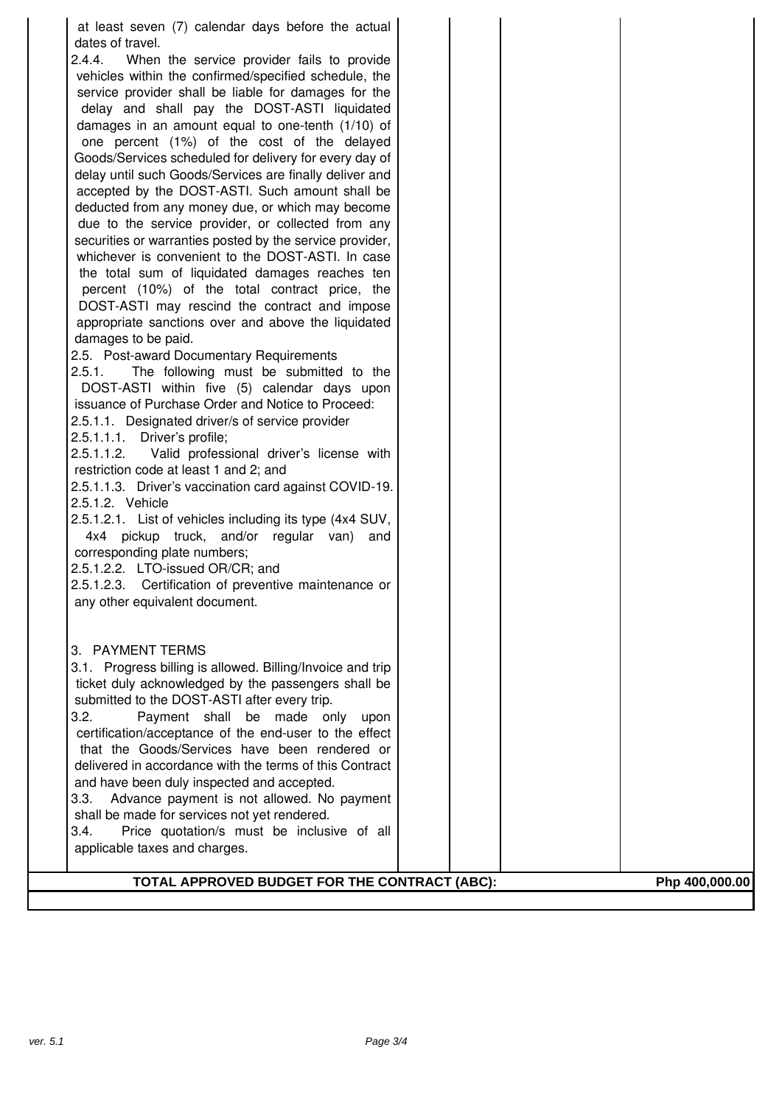| at least seven (7) calendar days before the actual<br>dates of travel.<br>2.4.4.<br>When the service provider fails to provide<br>vehicles within the confirmed/specified schedule, the<br>service provider shall be liable for damages for the<br>delay and shall pay the DOST-ASTI liquidated<br>damages in an amount equal to one-tenth (1/10) of<br>one percent (1%) of the cost of the delayed<br>Goods/Services scheduled for delivery for every day of<br>delay until such Goods/Services are finally deliver and<br>accepted by the DOST-ASTI. Such amount shall be<br>deducted from any money due, or which may become<br>due to the service provider, or collected from any<br>securities or warranties posted by the service provider,<br>whichever is convenient to the DOST-ASTI. In case<br>the total sum of liquidated damages reaches ten<br>percent (10%) of the total contract price, the<br>DOST-ASTI may rescind the contract and impose<br>appropriate sanctions over and above the liquidated<br>damages to be paid.<br>2.5. Post-award Documentary Requirements<br>2.5.1.<br>The following must be submitted to the<br>DOST-ASTI within five (5) calendar days upon<br>issuance of Purchase Order and Notice to Proceed:<br>2.5.1.1. Designated driver/s of service provider<br>2.5.1.1.1. Driver's profile;<br>Valid professional driver's license with<br>2.5.1.1.2.<br>restriction code at least 1 and 2; and<br>2.5.1.1.3. Driver's vaccination card against COVID-19.<br>2.5.1.2. Vehicle<br>2.5.1.2.1. List of vehicles including its type (4x4 SUV,<br>4x4 pickup truck, and/or regular van)<br>and<br>corresponding plate numbers;<br>2.5.1.2.2. LTO-issued OR/CR; and<br>2.5.1.2.3. Certification of preventive maintenance or<br>any other equivalent document.<br>3. PAYMENT TERMS<br>3.1. Progress billing is allowed. Billing/Invoice and trip<br>ticket duly acknowledged by the passengers shall be<br>submitted to the DOST-ASTI after every trip. |  |                |
|-------------------------------------------------------------------------------------------------------------------------------------------------------------------------------------------------------------------------------------------------------------------------------------------------------------------------------------------------------------------------------------------------------------------------------------------------------------------------------------------------------------------------------------------------------------------------------------------------------------------------------------------------------------------------------------------------------------------------------------------------------------------------------------------------------------------------------------------------------------------------------------------------------------------------------------------------------------------------------------------------------------------------------------------------------------------------------------------------------------------------------------------------------------------------------------------------------------------------------------------------------------------------------------------------------------------------------------------------------------------------------------------------------------------------------------------------------------------------------------------------------------------------------------------------------------------------------------------------------------------------------------------------------------------------------------------------------------------------------------------------------------------------------------------------------------------------------------------------------------------------------------------------------------------------------------------------------------------------------------------|--|----------------|
| 3.2.<br>Payment shall be made only upon<br>certification/acceptance of the end-user to the effect<br>that the Goods/Services have been rendered or<br>delivered in accordance with the terms of this Contract<br>and have been duly inspected and accepted.<br>3.3.<br>Advance payment is not allowed. No payment<br>shall be made for services not yet rendered.<br>3.4.<br>Price quotation/s must be inclusive of all<br>applicable taxes and charges.<br>TOTAL APPROVED BUDGET FOR THE CONTRACT (ABC):                                                                                                                                                                                                                                                                                                                                                                                                                                                                                                                                                                                                                                                                                                                                                                                                                                                                                                                                                                                                                                                                                                                                                                                                                                                                                                                                                                                                                                                                                 |  | Php 400,000.00 |